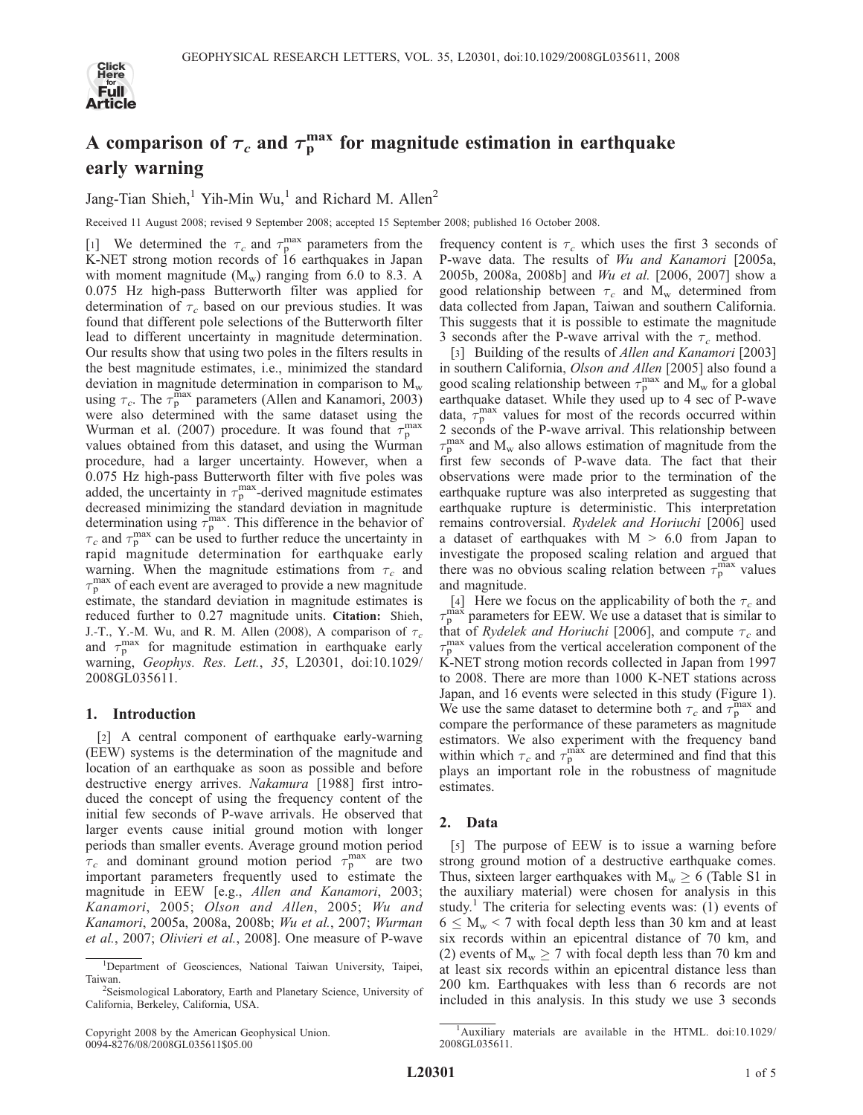

# A comparison of  ${\tau_c}$  and  ${\tau_{\rm p}^{\rm max}}$  for magnitude estimation in earthquake early warning

Jang-Tian Shieh,<sup>1</sup> Yih-Min Wu,<sup>1</sup> and Richard M. Allen<sup>2</sup>

Received 11 August 2008; revised 9 September 2008; accepted 15 September 2008; published 16 October 2008.

[1] We determined the  $\tau_c$  and  $\tau_p^{\text{max}}$  parameters from the K-NET strong motion records of 16 earthquakes in Japan with moment magnitude  $(M_w)$  ranging from 6.0 to 8.3. A 0.075 Hz high-pass Butterworth filter was applied for determination of  $\tau_c$  based on our previous studies. It was found that different pole selections of the Butterworth filter lead to different uncertainty in magnitude determination. Our results show that using two poles in the filters results in the best magnitude estimates, i.e., minimized the standard deviation in magnitude determination in comparison to  $M_{\rm w}$ using  $\tau_c$ . The  $\tau_p^{\text{max}}$  parameters (Allen and Kanamori, 2003) were also determined with the same dataset using the Wurman et al. (2007) procedure. It was found that  $\tau_p^{\text{max}}$ values obtained from this dataset, and using the Wurman procedure, had a larger uncertainty. However, when a 0.075 Hz high-pass Butterworth filter with five poles was added, the uncertainty in  $\tau_{p}^{\max}$ -derived magnitude estimates decreased minimizing the standard deviation in magnitude determination using  $\tau_p^{\text{max}}$ . This difference in the behavior of  $\tau_c$  and  $\tau_p^{\text{max}}$  can be used to further reduce the uncertainty in rapid magnitude determination for earthquake early warning. When the magnitude estimations from  $\tau_c$  and  $\tau_{\rm p}^{\rm max}$  of each event are averaged to provide a new magnitude estimate, the standard deviation in magnitude estimates is reduced further to 0.27 magnitude units. Citation: Shieh, J.-T., Y.-M. Wu, and R. M. Allen (2008), A comparison of  $\tau_c$ and  $\tau_p^{\text{max}}$  for magnitude estimation in earthquake early warning, Geophys. Res. Lett., 35, L20301, doi:10.1029/ 2008GL035611.

### 1. Introduction

[2] A central component of earthquake early-warning (EEW) systems is the determination of the magnitude and location of an earthquake as soon as possible and before destructive energy arrives. Nakamura [1988] first introduced the concept of using the frequency content of the initial few seconds of P-wave arrivals. He observed that larger events cause initial ground motion with longer periods than smaller events. Average ground motion period  $\tau_c$  and dominant ground motion period  $\tau_p^{\text{max}}$  are two important parameters frequently used to estimate the magnitude in EEW [e.g., Allen and Kanamori, 2003; Kanamori, 2005; Olson and Allen, 2005; Wu and Kanamori, 2005a, 2008a, 2008b; Wu et al., 2007; Wurman et al., 2007; Olivieri et al., 2008]. One measure of P-wave

Copyright 2008 by the American Geophysical Union. 0094-8276/08/2008GL035611\$05.00

frequency content is  $\tau_c$  which uses the first 3 seconds of P-wave data. The results of Wu and Kanamori [2005a, 2005b, 2008a, 2008b] and Wu et al. [2006, 2007] show a good relationship between  $\tau_c$  and M<sub>w</sub> determined from data collected from Japan, Taiwan and southern California. This suggests that it is possible to estimate the magnitude 3 seconds after the P-wave arrival with the  $\tau_c$  method.

[3] Building of the results of *Allen and Kanamori* [2003] in southern California, Olson and Allen [2005] also found a good scaling relationship between  $\tau_p^{\text{max}}$  and  $\dot{M}_{\text{w}}$  for a global earthquake dataset. While they used up to 4 sec of P-wave data,  $\tau_p^{\text{max}}$  values for most of the records occurred within 2 seconds of the P-wave arrival. This relationship between  $\tau_{\rm p}^{\rm max}$  and  ${\rm M}_{\rm w}$  also allows estimation of magnitude from the first few seconds of P-wave data. The fact that their observations were made prior to the termination of the earthquake rupture was also interpreted as suggesting that earthquake rupture is deterministic. This interpretation remains controversial. Rydelek and Horiuchi [2006] used a dataset of earthquakes with  $M > 6.0$  from Japan to investigate the proposed scaling relation and argued that there was no obvious scaling relation between  $\tau_p^{\text{max}}$  values and magnitude.

[4] Here we focus on the applicability of both the  $\tau_c$  and  $\tau_{\rm p}$  $\frac{m}{n}$  parameters for EEW. We use a dataset that is similar to that of Rydelek and Horiuchi [2006], and compute  $\tau_c$  and  $\tau_{\rm p}^{\rm max}$  values from the vertical acceleration component of the K-NET strong motion records collected in Japan from 1997 to 2008. There are more than 1000 K-NET stations across Japan, and 16 events were selected in this study (Figure 1). We use the same dataset to determine both  $\tau_c$  and  $\tau_p^{\text{max}}$  and compare the performance of these parameters as magnitude estimators. We also experiment with the frequency band within which  $\tau_c$  and  $\tau_p^{\text{max}}$  are determined and find that this plays an important role in the robustness of magnitude estimates.

### 2. Data

[5] The purpose of EEW is to issue a warning before strong ground motion of a destructive earthquake comes. Thus, sixteen larger earthquakes with  $M_w \ge 6$  (Table S1 in the auxiliary material) were chosen for analysis in this study.<sup>1</sup> The criteria for selecting events was:  $(1)$  events of  $6 \le M_w$  < 7 with focal depth less than 30 km and at least six records within an epicentral distance of 70 km, and (2) events of  $M_w \ge 7$  with focal depth less than 70 km and at least six records within an epicentral distance less than 200 km. Earthquakes with less than 6 records are not included in this analysis. In this study we use 3 seconds

<sup>&</sup>lt;sup>1</sup>Department of Geosciences, National Taiwan University, Taipei, Taiwan. <sup>2</sup>

<sup>&</sup>lt;sup>2</sup>Seismological Laboratory, Earth and Planetary Science, University of California, Berkeley, California, USA.

<sup>&</sup>lt;sup>1</sup>Auxiliary materials are available in the HTML. doi:10.1029/ 2008GL035611.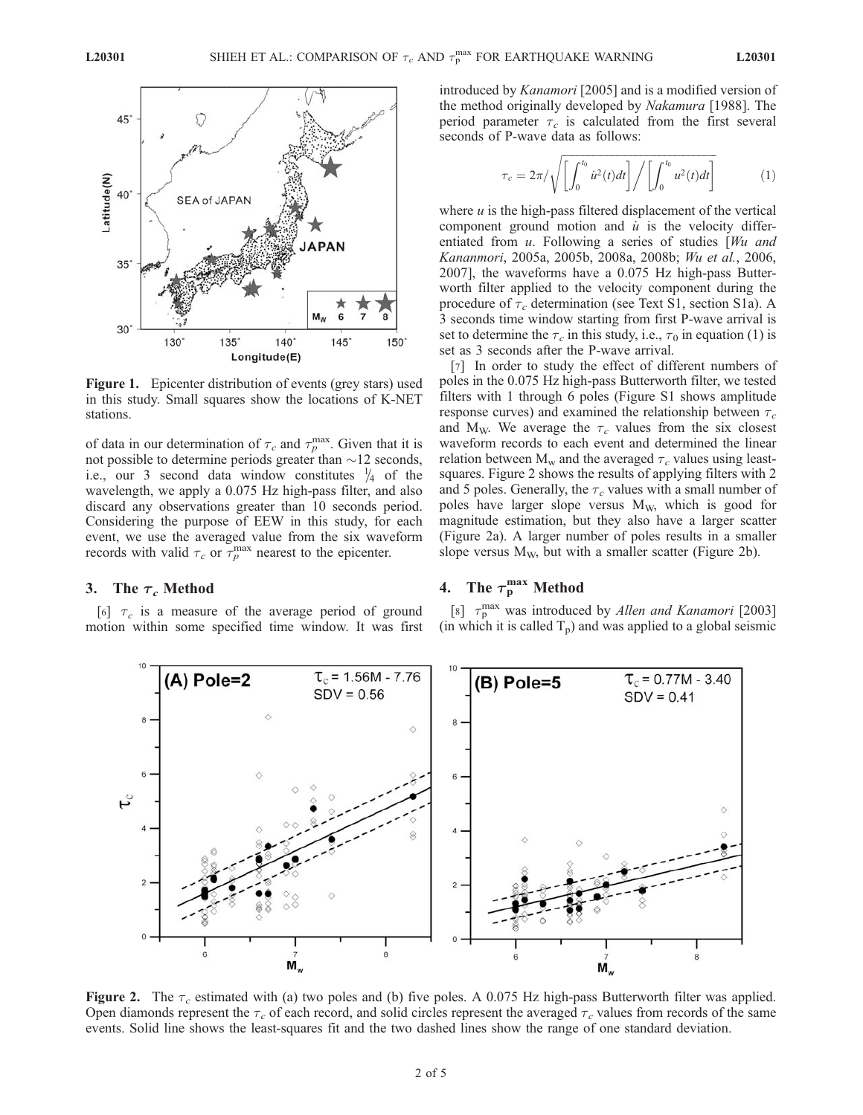

Figure 1. Epicenter distribution of events (grey stars) used in this study. Small squares show the locations of K-NET stations.

of data in our determination of  $\tau_c$  and  $\tau_p^{\text{max}}$ . Given that it is not possible to determine periods greater than  $\sim$ 12 seconds, i.e., our 3 second data window constitutes  $\frac{1}{4}$  of the wavelength, we apply a 0.075 Hz high-pass filter, and also discard any observations greater than 10 seconds period. Considering the purpose of EEW in this study, for each event, we use the averaged value from the six waveform records with valid  $\tau_c$  or  $\tau_p^{\text{max}}$  nearest to the epicenter.

#### 3. The  $\tau_c$  Method

[6]  $\tau_c$  is a measure of the average period of ground motion within some specified time window. It was first introduced by Kanamori [2005] and is a modified version of the method originally developed by Nakamura [1988]. The period parameter  $\tau_c$  is calculated from the first several seconds of P-wave data as follows:

$$
\tau_c = 2\pi/\sqrt{\left[\int_0^{t_0} \dot{u}^2(t)dt\right]}/\left[\int_0^{t_0} u^2(t)dt\right] \tag{1}
$$

where  $u$  is the high-pass filtered displacement of the vertical component ground motion and  $\dot{u}$  is the velocity differentiated from u. Following a series of studies [Wu and Kananmori, 2005a, 2005b, 2008a, 2008b; Wu et al., 2006, 2007], the waveforms have a 0.075 Hz high-pass Butterworth filter applied to the velocity component during the procedure of  $\tau_c$  determination (see Text S1, section S1a). A 3 seconds time window starting from first P-wave arrival is set to determine the  $\tau_c$  in this study, i.e.,  $\tau_0$  in equation (1) is set as 3 seconds after the P-wave arrival.

[7] In order to study the effect of different numbers of poles in the 0.075 Hz high-pass Butterworth filter, we tested filters with 1 through 6 poles (Figure S1 shows amplitude response curves) and examined the relationship between  $\tau_c$ and M<sub>W</sub>. We average the  $\tau_c$  values from the six closest waveform records to each event and determined the linear relation between  $M_w$  and the averaged  $\tau_c$  values using leastsquares. Figure 2 shows the results of applying filters with 2 and 5 poles. Generally, the  $\tau_c$  values with a small number of poles have larger slope versus  $M_W$ , which is good for magnitude estimation, but they also have a larger scatter (Figure 2a). A larger number of poles results in a smaller slope versus  $M_W$ , but with a smaller scatter (Figure 2b).

## 4. The  $\tau_{\rm p}^{\rm max}$  Method

[8]  $\tau_p^{\text{max}}$  was introduced by Allen and Kanamori [2003] (in which it is called  $T_p$ ) and was applied to a global seismic



**Figure 2.** The  $\tau_c$  estimated with (a) two poles and (b) five poles. A 0.075 Hz high-pass Butterworth filter was applied. Open diamonds represent the  $\tau_c$  of each record, and solid circles represent the averaged  $\tau_c$  values from records of the same events. Solid line shows the least-squares fit and the two dashed lines show the range of one standard deviation.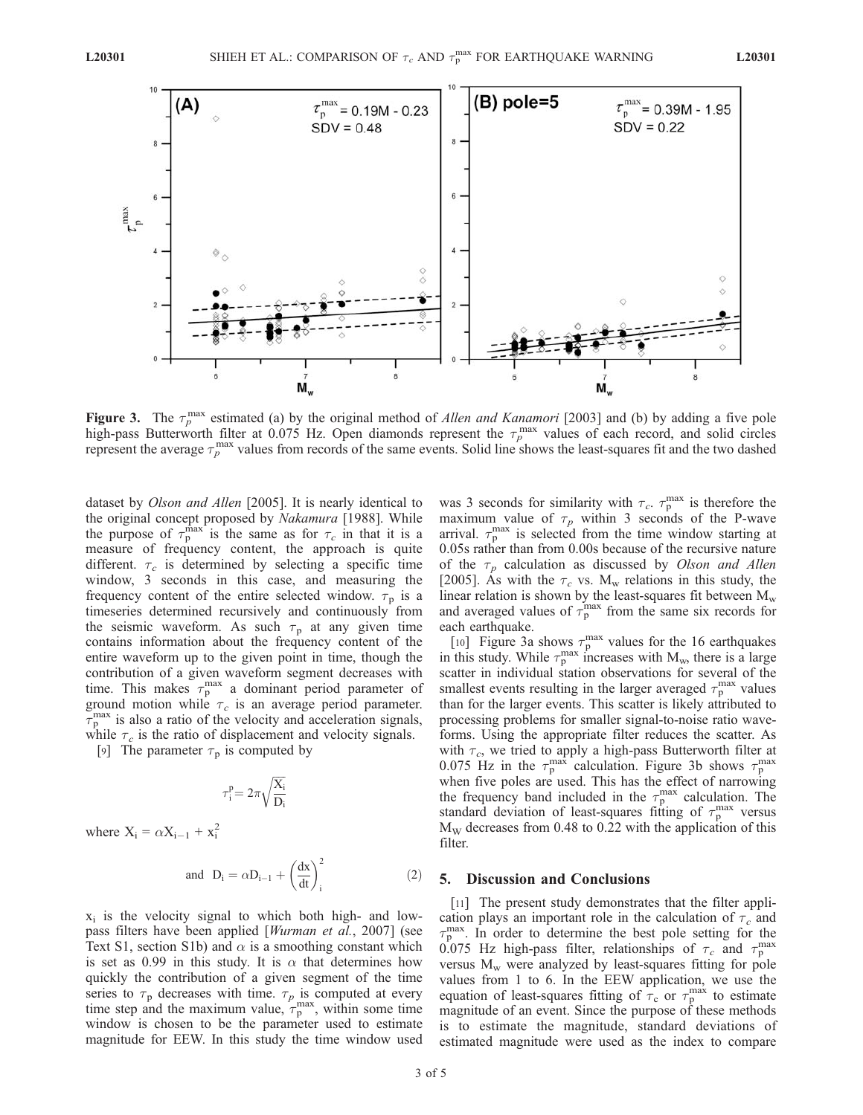

Figure 3. The  $\tau_p^{\text{max}}$  estimated (a) by the original method of *Allen and Kanamori* [2003] and (b) by adding a five pole high-pass Butterworth filter at 0.075 Hz. Open diamonds represent the  $\tau_p^{\text{max}}$  values of each record, and solid circles represent the average  $\tau_p^{\text{max}}$  values from records of the same events. Solid line shows the least-squares fit and the two dashed

dataset by Olson and Allen [2005]. It is nearly identical to the original concept proposed by Nakamura [1988]. While the purpose of  $\tau_p^{\text{max}}$  is the same as for  $\tau_c$  in that it is a measure of frequency content, the approach is quite different.  $\tau_c$  is determined by selecting a specific time window, 3 seconds in this case, and measuring the frequency content of the entire selected window.  $\tau_p$  is a timeseries determined recursively and continuously from the seismic waveform. As such  $\tau_p$  at any given time contains information about the frequency content of the entire waveform up to the given point in time, though the contribution of a given waveform segment decreases with time. This makes  $\tau_p^{\text{max}}$  a dominant period parameter of ground motion while  $\tau_c$  is an average period parameter.  $\overline{\tau}_{p}^{\text{max}}$  is also a ratio of the velocity and acceleration signals, while  $\tau_c$  is the ratio of displacement and velocity signals.

[9] The parameter  $\tau_p$  is computed by

$$
\tau_i^p\!=2\pi\sqrt{\frac{X_i}{D_i}}
$$

where  $X_i = \alpha X_{i-1} + x_i^2$ 

and 
$$
D_i = \alpha D_{i-1} + \left(\frac{dx}{dt}\right)_i^2
$$
 (2)

 $x_i$  is the velocity signal to which both high- and lowpass filters have been applied [Wurman et al., 2007] (see Text S1, section S1b) and  $\alpha$  is a smoothing constant which is set as 0.99 in this study. It is  $\alpha$  that determines how quickly the contribution of a given segment of the time series to  $\tau_p$  decreases with time.  $\tau_p$  is computed at every time step and the maximum value,  $\tau_p^{\text{max}}$ , within some time window is chosen to be the parameter used to estimate magnitude for EEW. In this study the time window used

was 3 seconds for similarity with  $\tau_c$ .  $\tau_p^{\text{max}}$  is therefore the maximum value of  $\tau_p$  within 3 seconds of the P-wave arrival.  $\tau_p^{\text{max}}$  is selected from the time window starting at 0.05s rather than from 0.00s because of the recursive nature of the  $\tau_p$  calculation as discussed by Olson and Allen [2005]. As with the  $\tau_c$  vs. M<sub>w</sub> relations in this study, the linear relation is shown by the least-squares fit between  $M_w$ and averaged values of  $\tau_p^{\text{max}}$  from the same six records for each earthquake.

[10] Figure 3a shows  $\tau_p^{\text{max}}$  values for the 16 earthquakes in this study. While  $\tau_p^{\text{max}}$  increases with  $M_w$ , there is a large scatter in individual station observations for several of the smallest events resulting in the larger averaged  $\tau_p^{\text{max}}$  values than for the larger events. This scatter is likely attributed to processing problems for smaller signal-to-noise ratio waveforms. Using the appropriate filter reduces the scatter. As with  $\tau_c$ , we tried to apply a high-pass Butterworth filter at 0.075 Hz in the  $\tau_p^{\text{max}}$  calculation. Figure 3b shows  $\tau_p^{\text{max}}$ when five poles are used. This has the effect of narrowing the frequency band included in the  $\tau_p^{\text{max}}$  calculation. The standard deviation of least-squares fitting of  $\tau_{p}^{\max}$  versus  $M_W$  decreases from 0.48 to 0.22 with the application of this filter.

#### 5. Discussion and Conclusions

[11] The present study demonstrates that the filter application plays an important role in the calculation of  $\tau_c$  and  $\tau_{\rm p}^{\rm max}$ . In order to determine the best pole setting for the 0.075 Hz high-pass filter, relationships of  $\tau_c$  and  $\tau_p^{\text{max}}$ versus  $M_w$  were analyzed by least-squares fitting for pole values from 1 to 6. In the EEW application, we use the equation of least-squares fitting of  $\tau_c$  or  $\tau_p^{\text{max}}$  to estimate magnitude of an event. Since the purpose of these methods is to estimate the magnitude, standard deviations of estimated magnitude were used as the index to compare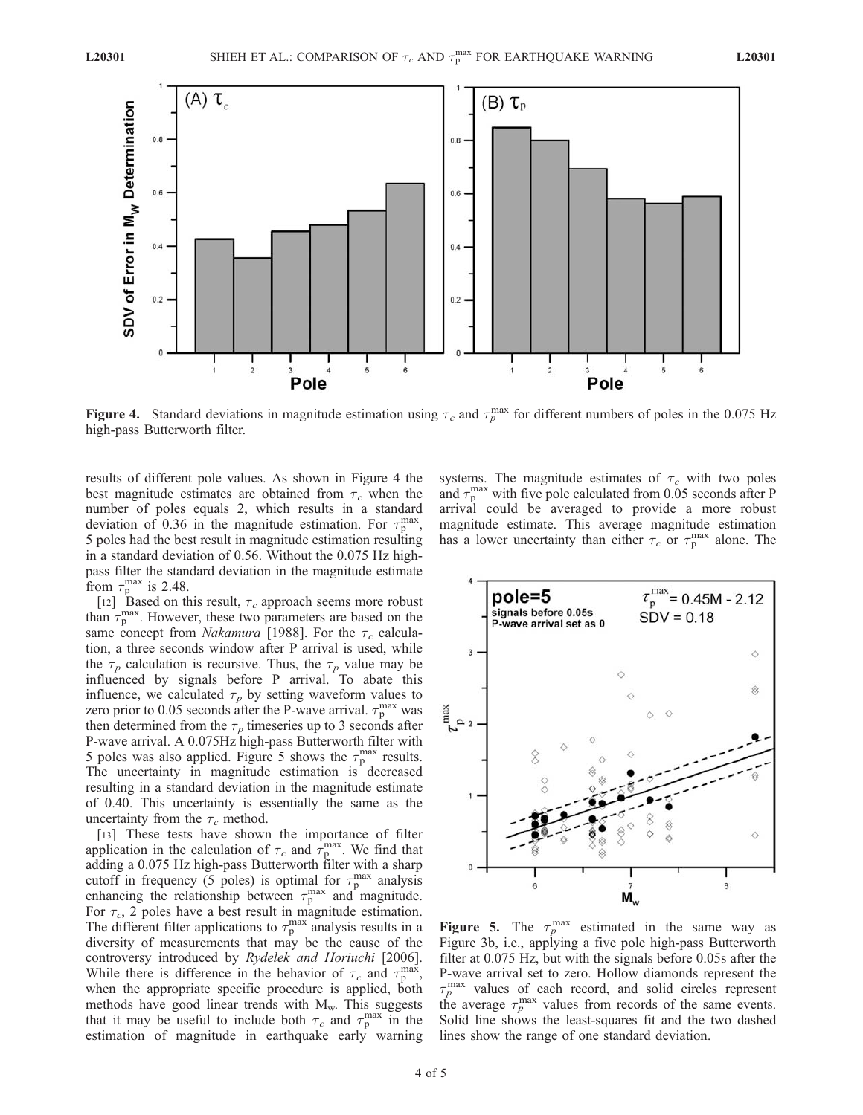

Figure 4. Standard deviations in magnitude estimation using  $\tau_c$  and  $\tau_p^{\text{max}}$  for different numbers of poles in the 0.075 Hz high-pass Butterworth filter.

results of different pole values. As shown in Figure 4 the best magnitude estimates are obtained from  $\tau_c$  when the number of poles equals 2, which results in a standard deviation of 0.36 in the magnitude estimation. For  $\tau_p^{\text{max}}$ , 5 poles had the best result in magnitude estimation resulting in a standard deviation of 0.56. Without the 0.075 Hz highpass filter the standard deviation in the magnitude estimate from  $\tau_{\rm p}^{\rm max}$  is 2.48.

[12] Based on this result,  $\tau_c$  approach seems more robust than  $\tau_p^{\text{max}}$ . However, these two parameters are based on the same concept from *Nakamura* [1988]. For the  $\tau_c$  calculation, a three seconds window after P arrival is used, while the  $\tau_p$  calculation is recursive. Thus, the  $\tau_p$  value may be influenced by signals before P arrival. To abate this influence, we calculated  $\tau_p$  by setting waveform values to zero prior to 0.05 seconds after the P-wave arrival.  $\tau_p^{\text{max}}$  was then determined from the  $\tau_p$  timeseries up to 3 seconds after P-wave arrival. A 0.075Hz high-pass Butterworth filter with 5 poles was also applied. Figure 5 shows the  $\tau_p^{\text{max}}$  results. The uncertainty in magnitude estimation is decreased resulting in a standard deviation in the magnitude estimate of 0.40. This uncertainty is essentially the same as the uncertainty from the  $\tau_c$  method.

[13] These tests have shown the importance of filter application in the calculation of  $\tau_c$  and  $\tau_p^{\text{max}}$ . We find that adding a 0.075 Hz high-pass Butterworth filter with a sharp cutoff in frequency (5 poles) is optimal for  $\tau_p^{\text{max}}$  analysis enhancing the relationship between  $\tau_p^{\text{max}}$  and magnitude. For  $\tau_c$ , 2 poles have a best result in magnitude estimation. The different filter applications to  $\tau_p^{\text{max}}$  analysis results in a diversity of measurements that may be the cause of the controversy introduced by Rydelek and Horiuchi [2006]. While there is difference in the behavior of  $\tau_c$  and  $\tau_p^{\text{max}}$ , when the appropriate specific procedure is applied, both methods have good linear trends with  $M_w$ . This suggests that it may be useful to include both  $\tau_c$  and  $\tau_p^{\text{max}}$  in the estimation of magnitude in earthquake early warning systems. The magnitude estimates of  $\tau_c$  with two poles and  $\tau_{\rm p}^{\rm max}$  with five pole calculated from 0.05 seconds after P arrival could be averaged to provide a more robust magnitude estimate. This average magnitude estimation has a lower uncertainty than either  $\tau_c$  or  $\tau_p^{\text{max}}$  alone. The



Figure 5. The  $\tau_p^{\text{max}}$  estimated in the same way as Figure 3b, i.e., applying a five pole high-pass Butterworth filter at 0.075 Hz, but with the signals before 0.05s after the P-wave arrival set to zero. Hollow diamonds represent the  $\tau_p^{\text{max}}$  values of each record, and solid circles represent the average  $\tau_p^{\text{max}}$  values from records of the same events. Solid line shows the least-squares fit and the two dashed lines show the range of one standard deviation.